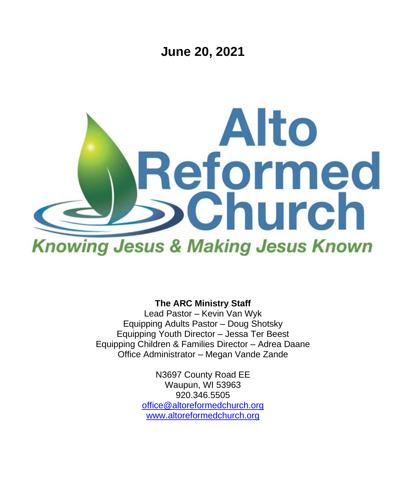**June 20, 2021**



**The ARC Ministry Staff**

Lead Pastor – Kevin Van Wyk Equipping Adults Pastor – Doug Shotsky Equipping Youth Director – Jessa Ter Beest Equipping Children & Families Director – Adrea Daane Office Administrator – Megan Vande Zande

> N3697 County Road EE Waupun, WI 53963 920.346.5505 [office@altoreformedchurch.org](mailto:office@altoreformedchurch.org) [www.altoreformedchurch.org](http://www.altoreformedchurch.org/)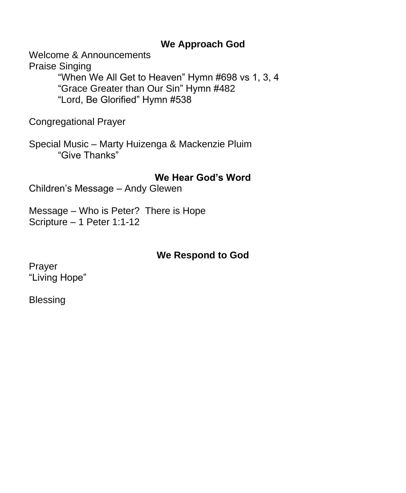### **We Approach God**

Welcome & Announcements

Praise Singing "When We All Get to Heaven" Hymn #698 vs 1, 3, 4 "Grace Greater than Our Sin" Hymn #482 "Lord, Be Glorified" Hymn #538

Congregational Prayer

Special Music – Marty Huizenga & Mackenzie Pluim "Give Thanks"

**We Hear God's Word**

Children's Message – Andy Glewen

Message – Who is Peter? There is Hope Scripture – 1 Peter 1:1-12

## **We Respond to God**

Prayer "Living Hope"

Blessing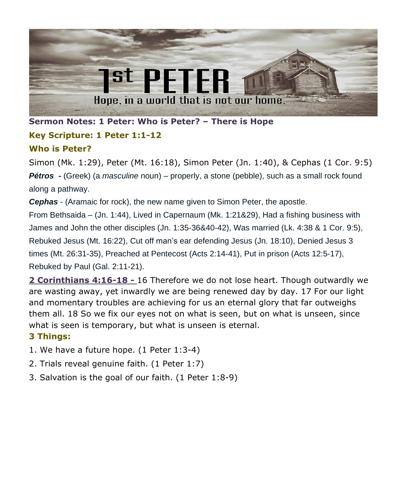

**Sermon Notes: 1 Peter: Who is Peter? – There is Hope**

### **Key Scripture: 1 Peter 1:1-12**

#### **Who is Peter?**

Simon (Mk. 1:29), Peter (Mt. 16:18), Simon Peter (Jn. 1:40), & Cephas (1 Cor. 9:5) *Pétros* **-** (Greek) (a *masculine* noun) – properly, a stone (pebble), such as a small rock found along a pathway.

*Cephas* - (Aramaic for rock), the new name given to Simon Peter, the apostle.

From Bethsaida – (Jn. 1:44), Lived in Capernaum (Mk. 1:21&29), Had a fishing business with James and John the other disciples (Jn. 1:35-36&40-42), Was married (Lk. 4:38 & 1 Cor. 9:5), Rebuked Jesus (Mt. 16:22), Cut off man's ear defending Jesus (Jn. 18:10), Denied Jesus 3 times (Mt. 26:31-35), Preached at Pentecost (Acts 2:14-41), Put in prison (Acts 12:5-17), Rebuked by Paul (Gal. 2:11-21).

**2 Corinthians 4:16-18 -** 16 Therefore we do not lose heart. Though outwardly we are wasting away, yet inwardly we are being renewed day by day. 17 For our light and momentary troubles are achieving for us an eternal glory that far outweighs them all. 18 So we fix our eyes not on what is seen, but on what is unseen, since what is seen is temporary, but what is unseen is eternal.

#### **3 Things:**

- 1. We have a future hope. (1 Peter 1:3-4)
- 2. Trials reveal genuine faith. (1 Peter 1:7)
- 3. Salvation is the goal of our faith. (1 Peter 1:8-9)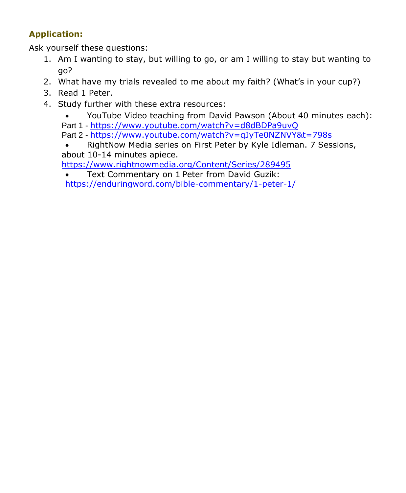#### **Application:**

Ask yourself these questions:

- 1. Am I wanting to stay, but willing to go, or am I willing to stay but wanting to go?
- 2. What have my trials revealed to me about my faith? (What's in your cup?)
- 3. Read 1 Peter.
- 4. Study further with these extra resources:
	- YouTube Video teaching from David Pawson (About 40 minutes each): Part 1 - <https://www.youtube.com/watch?v=d8dBDPa9uvQ> Part 2 - <https://www.youtube.com/watch?v=qJyTe0NZNVY&t=798s>
	- RightNow Media series on First Peter by Kyle Idleman. 7 Sessions, about 10-14 minutes apiece.

<https://www.rightnowmedia.org/Content/Series/289495>

• Text Commentary on 1 Peter from David Guzik: <https://enduringword.com/bible-commentary/1-peter-1/>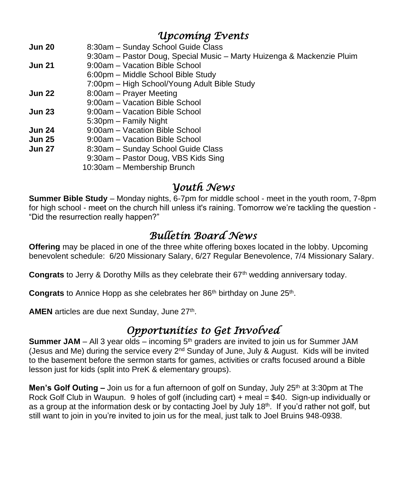# *Upcoming Events*

- **Jun 20** 8:30am Sunday School Guide Class 9:30am – Pastor Doug, Special Music – Marty Huizenga & Mackenzie Pluim **Jun 21** 9:00am – Vacation Bible School 6:00pm – Middle School Bible Study 7:00pm – High School/Young Adult Bible Study **Jun 22** 8:00am – Prayer Meeting 9:00am – Vacation Bible School **Jun 23** 9:00am – Vacation Bible School 5:30pm – Family Night **Jun 24** 9:00am – Vacation Bible School **Jun 25** 9:00am – Vacation Bible School **Jun 27** 8:30am – Sunday School Guide Class 9:30am – Pastor Doug, VBS Kids Sing
	- 10:30am Membership Brunch

### *Youth News*

**Summer Bible Study** – Monday nights, 6-7pm for middle school - meet in the youth room, 7-8pm for high school - meet on the church hill unless it's raining. Tomorrow we're tackling the question - "Did the resurrection really happen?"

# *Bulletin Board News*

**Offering** may be placed in one of the three white offering boxes located in the lobby. Upcoming benevolent schedule: 6/20 Missionary Salary, 6/27 Regular Benevolence, 7/4 Missionary Salary.

Congrats to Jerry & Dorothy Mills as they celebrate their 67<sup>th</sup> wedding anniversary today.

Congrats to Annice Hopp as she celebrates her 86<sup>th</sup> birthday on June 25<sup>th</sup>.

AMEN articles are due next Sunday, June 27<sup>th</sup>.

# *Opportunities to Get Involved*

**Summer JAM** – All 3 year olds – incoming 5<sup>th</sup> graders are invited to join us for Summer JAM (Jesus and Me) during the service every  $2<sup>nd</sup>$  Sunday of June, July & August. Kids will be invited to the basement before the sermon starts for games, activities or crafts focused around a Bible lesson just for kids (split into PreK & elementary groups).

**Men's Golf Outing –** Join us for a fun afternoon of golf on Sunday, July 25<sup>th</sup> at 3:30pm at The Rock Golf Club in Waupun. 9 holes of golf (including cart) + meal = \$40. Sign-up individually or as a group at the information desk or by contacting Joel by July 18<sup>th</sup>. If you'd rather not golf, but still want to join in you're invited to join us for the meal, just talk to Joel Bruins 948-0938.